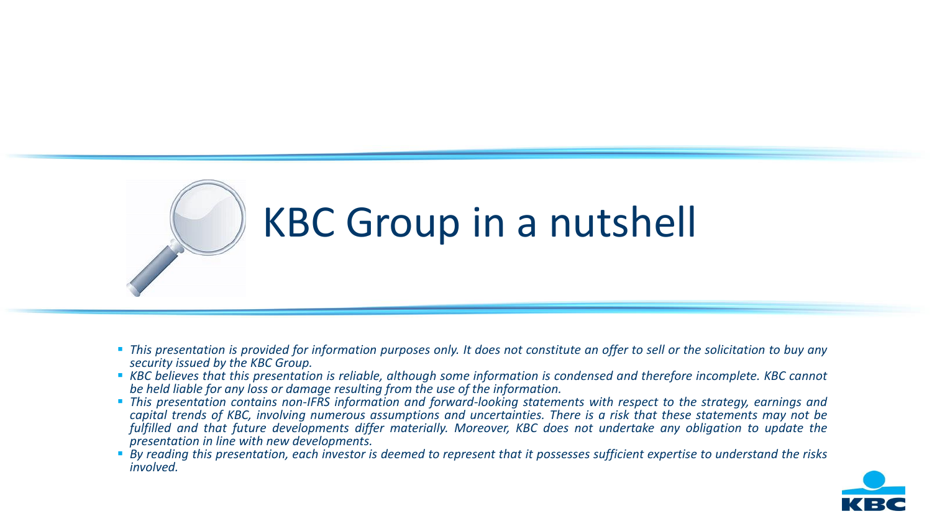

# KBC Group in a nutshell

- This presentation is provided for information purposes only. It does not constitute an offer to sell or the solicitation to buy any *security issued by the KBC Group.*
- KBC believes that this presentation is reliable, although some information is condensed and therefore incomplete. KBC cannot *be held liable for any loss or damage resulting from the use of the information.*
- This presentation contains non-IFRS information and forward-looking statements with respect to the strategy, earnings and capital trends of KBC, involving numerous assumptions and uncertainties. There is a risk that these statements may not be fulfilled and that future developments differ materially. Moreover, KBC does not undertake any obligation to update the *presentation in line with new developments.*
- By reading this presentation, each investor is deemed to represent that it possesses sufficient expertise to understand the risks *involved.*

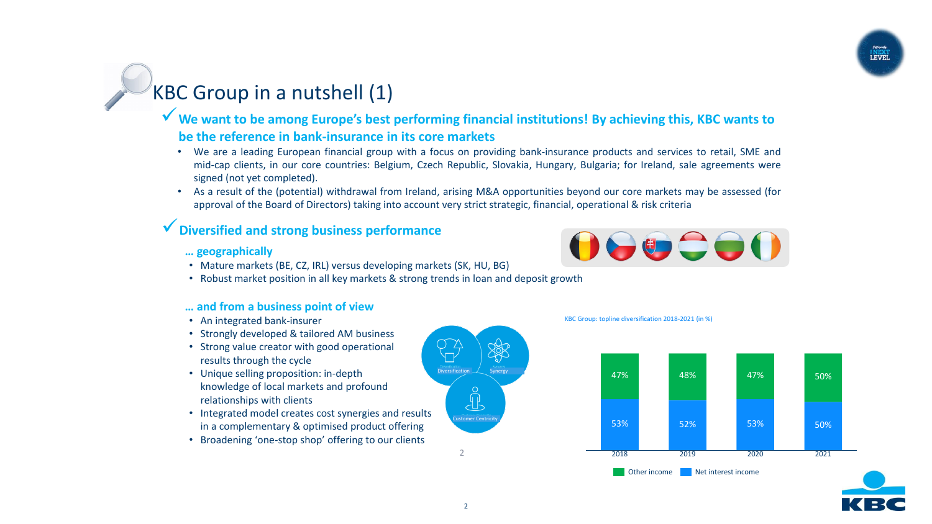# KBC Group in a nutshell (1)

### ✓**We want to be among Europe's best performing financial institutions! By achieving this, KBC wants to be the reference in bank-insurance in its core markets**

- We are a leading European financial group with a focus on providing bank-insurance products and services to retail, SME and mid-cap clients, in our core countries: Belgium, Czech Republic, Slovakia, Hungary, Bulgaria; for Ireland, sale agreements were signed (not yet completed).
- As a result of the (potential) withdrawal from Ireland, arising M&A opportunities beyond our core markets may be assessed (for approval of the Board of Directors) taking into account very strict strategic, financial, operational & risk criteria

### ✓**Diversified and strong business performance**

#### **… geographically**

- Mature markets (BE, CZ, IRL) versus developing markets (SK, HU, BG)
- Robust market position in all key markets & strong trends in loan and deposit growth

#### **… and from a business point of view**

- An integrated bank-insurer
- Strongly developed & tailored AM business
- Strong value creator with good operational results through the cycle
- Unique selling proposition: in-depth knowledge of local markets and profound relationships with clients
- Integrated model creates cost synergies and results in a complementary & optimised product offering
- Broadening 'one-stop shop' offering to our clients











2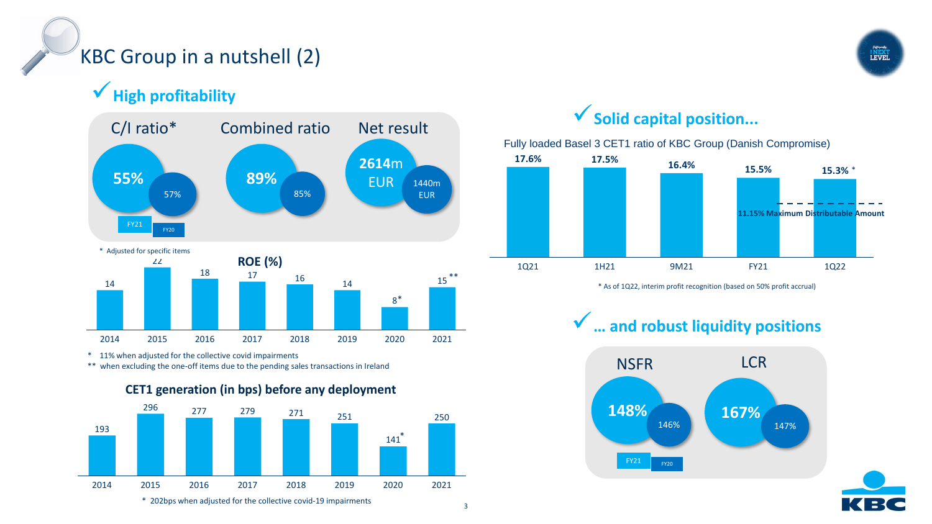# KBC Group in a nutshell (2)

✓**High profitability**



\* 11% when adjusted for the collective covid impairments

\*\* when excluding the one-off items due to the pending sales transactions in Ireland



## ✓**Solid capital position...**

Fully loaded Basel 3 CET1 ratio of KBC Group (Danish Compromise)



\* As of 1Q22, interim profit recognition (based on 50% profit accrual)

✓**… and robust liquidity positions**